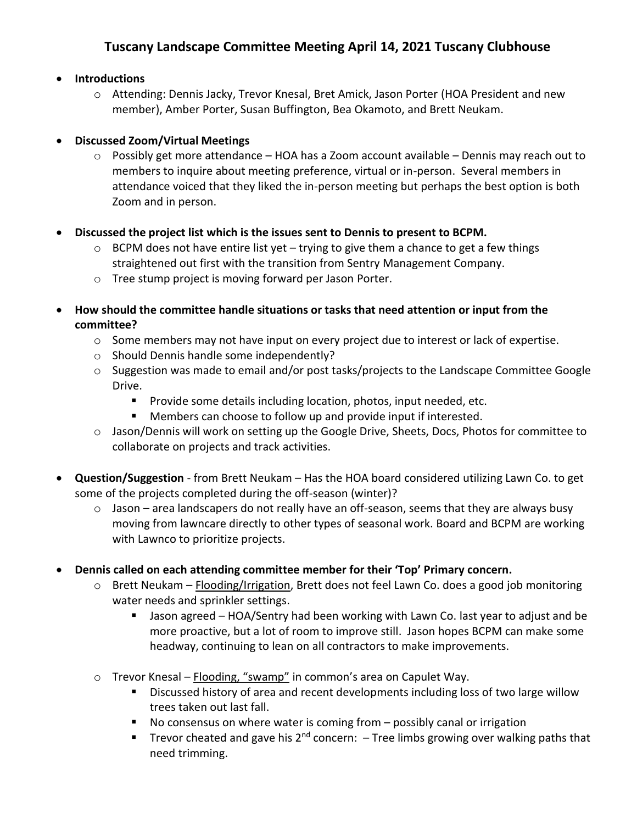## **Tuscany Landscape Committee Meeting April 14, 2021 Tuscany Clubhouse**

• **Introductions**

o Attending: Dennis Jacky, Trevor Knesal, Bret Amick, Jason Porter (HOA President and new member), Amber Porter, Susan Buffington, Bea Okamoto, and Brett Neukam.

## • **Discussed Zoom/Virtual Meetings**

- $\circ$  Possibly get more attendance HOA has a Zoom account available Dennis may reach out to members to inquire about meeting preference, virtual or in-person. Several members in attendance voiced that they liked the in-person meeting but perhaps the best option is both Zoom and in person.
- **Discussed the project list which is the issues sent to Dennis to present to BCPM.**
	- $\circ$  BCPM does not have entire list yet trying to give them a chance to get a few things straightened out first with the transition from Sentry Management Company.
	- o Tree stump project is moving forward per Jason Porter.
- **How should the committee handle situations or tasks that need attention or input from the committee?**
	- $\circ$  Some members may not have input on every project due to interest or lack of expertise.
	- o Should Dennis handle some independently?
	- $\circ$  Suggestion was made to email and/or post tasks/projects to the Landscape Committee Google Drive.
		- Provide some details including location, photos, input needed, etc.
		- Members can choose to follow up and provide input if interested.
	- o Jason/Dennis will work on setting up the Google Drive, Sheets, Docs, Photos for committee to collaborate on projects and track activities.
- **Question/Suggestion** from Brett Neukam Has the HOA board considered utilizing Lawn Co. to get some of the projects completed during the off-season (winter)?
	- $\circ$  Jason area landscapers do not really have an off-season, seems that they are always busy moving from lawncare directly to other types of seasonal work. Board and BCPM are working with Lawnco to prioritize projects.
- **Dennis called on each attending committee member for their 'Top' Primary concern.**
	- o Brett Neukam Flooding/Irrigation, Brett does not feel Lawn Co. does a good job monitoring water needs and sprinkler settings.
		- Jason agreed HOA/Sentry had been working with Lawn Co. last year to adjust and be more proactive, but a lot of room to improve still. Jason hopes BCPM can make some headway, continuing to lean on all contractors to make improvements.
	- o Trevor Knesal Flooding, "swamp" in common's area on Capulet Way.
		- Discussed history of area and recent developments including loss of two large willow trees taken out last fall.
		- No consensus on where water is coming from possibly canal or irrigation
		- **■** Trevor cheated and gave his  $2^{nd}$  concern:  $-$  Tree limbs growing over walking paths that need trimming.